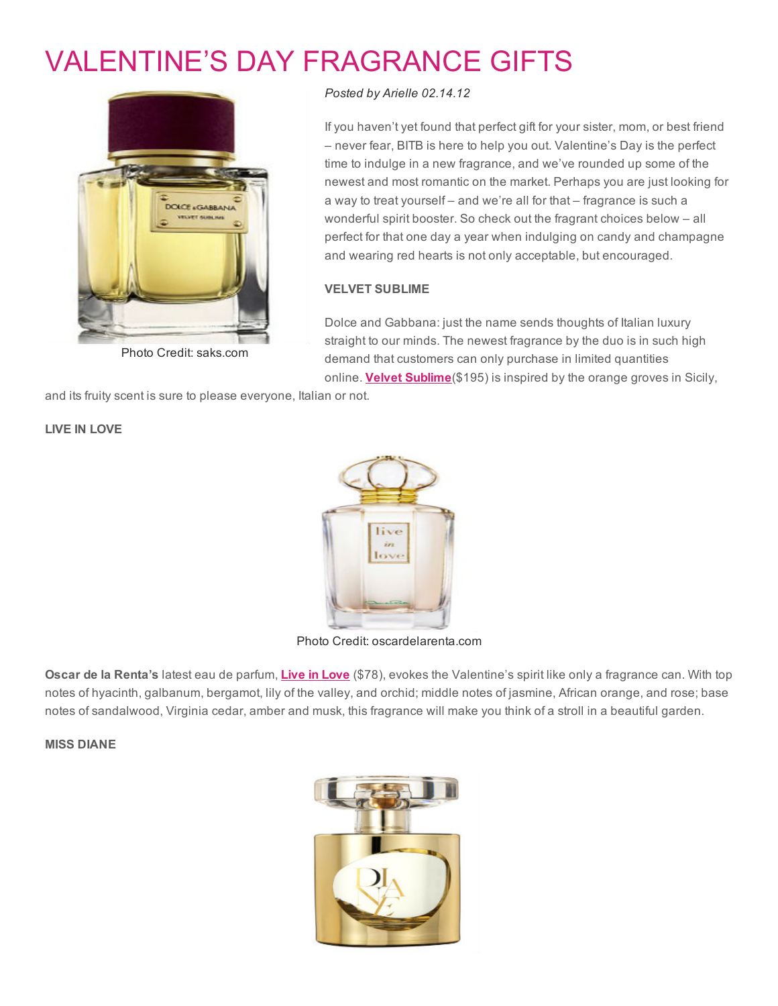# [VALENTINE'S](http://www.beautyinthebag.com/wordpress/valentines-day-fragrance-gifts/) DAY FRAGRANCE GIFTS



Photo Credit: saks.com

#### *Posted by [Arielle](http://www.beautyinthebag.com/wordpress/author/arielle/) 02.14.12*

If you haven't yet found that perfect gift for your sister, mom, or best friend – never fear, BITB is here to help you out. Valentine's Day is the perfect time to indulge in a new fragrance, and we've rounded up some of the newest and most romantic on the market. Perhaps you are just looking for a way to treat yourself – and we're all for that – fragrance is such a wonderful spirit booster. So check out the fragrant choices below – all perfect for that one day a year when indulging on candy and champagne and wearing red hearts is not only acceptable, but encouraged.

## VELVET SUBLIME

Dolce and Gabbana: just the name sends thoughts of Italian luxury straight to our minds. The newest fragrance by the duo is in such high demand that customers can only purchase in limited quantities online. **Velvet Sublime**(\$195) is inspired by the orange groves in Sicily,

and its fruity scent is sure to please everyone, Italian or not.

#### LIVE IN LOVE



Photo Credit: oscardelarenta.com

Oscar de la Renta's latest eau de parfum, Live in [Love](http://rstyle.me/g2txa4hmde) (\$78), evokes the Valentine's spirit like only a fragrance can. With top notes of hyacinth, galbanum, bergamot, lily of the valley, and orchid; middle notes of jasmine, African orange, and rose; base notes of sandalwood, Virginia cedar, amber and musk, this fragrance will make you think of a stroll in a beautiful garden.

MISS DIANE

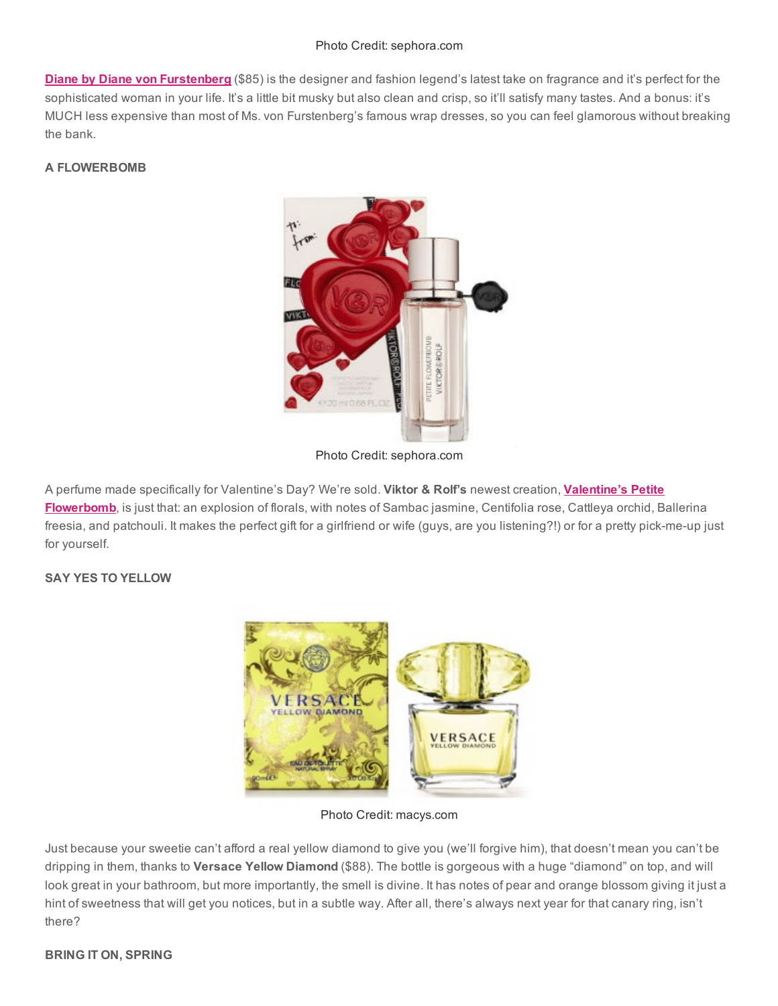#### Photo Credit: sephora.com

**Diane by Diane von [Furstenberg](http://rstyle.me/f9rgcuhmde)** (\$85) is the designer and fashion legend's latest take on fragrance and it's perfect for the sophisticated woman in your life. It's a little bit musky but also clean and crisp, so it'll satisfy many tastes. And a bonus: it's MUCH less expensive than most of Ms. von Furstenberg's famous wrap dresses, so you can feel glamorous without breaking the bank.

## A FLOWERBOMB



Photo Credit: sephora.com

A perfume made specifically for Valentine's Day? We're sold. Viktor & Rolf's newest creation, Valentine's Petite [Flowerbomb,](http://rstyle.me/g6snsfhmde) is just that: an explosion of florals, with notes of Sambac jasmine, Centifolia rose, Cattleya orchid, Ballerina freesia, and patchouli. It makes the perfect gift for a girlfriend or wife (guys, are you listening?!) or for a pretty pick-me-up just for yourself.

## SAY YES TO YELLOW



Photo Credit: macys.com

Just because your sweetie can't afford a real yellow diamond to give you (we'll forgive him), that doesn't mean you can't be dripping in them, thanks to Versace Yellow Diamond (\$88). The bottle is gorgeous with a huge "diamond" on top, and will look great in your bathroom, but more importantly, the smell is divine. It has notes of pear and orange blossom giving it just a hint of sweetness that will get you notices, but in a subtle way. After all, there's always next year for that canary ring, isn't there?

## BRING IT ON, SPRING